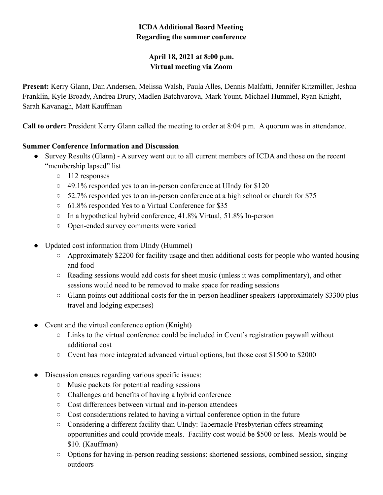# **ICDAAdditional Board Meeting Regarding the summer conference**

# **April 18, 2021 at 8:00 p.m. Virtual meeting via Zoom**

**Present:** Kerry Glann, Dan Andersen, Melissa Walsh, Paula Alles, Dennis Malfatti, Jennifer Kitzmiller, Jeshua Franklin, Kyle Broady, Andrea Drury, Madlen Batchvarova, Mark Yount, Michael Hummel, Ryan Knight, Sarah Kavanagh, Matt Kauffman

**Call to order:** President Kerry Glann called the meeting to order at 8:04 p.m. A quorum was in attendance.

## **Summer Conference Information and Discussion**

- Survey Results (Glann) A survey went out to all current members of ICDA and those on the recent "membership lapsed" list
	- 112 responses
	- 49.1% responded yes to an in-person conference at UIndy for \$120
	- 52.7% responded yes to an in-person conference at a high school or church for \$75
	- 61.8% responded Yes to a Virtual Conference for \$35
	- In a hypothetical hybrid conference, 41.8% Virtual, 51.8% In-person
	- Open-ended survey comments were varied
- Updated cost information from UIndy (Hummel)
	- Approximately \$2200 for facility usage and then additional costs for people who wanted housing and food
	- Reading sessions would add costs for sheet music (unless it was complimentary), and other sessions would need to be removed to make space for reading sessions
	- $\circ$  Glann points out additional costs for the in-person headliner speakers (approximately \$3300 plus travel and lodging expenses)
- Cvent and the virtual conference option (Knight)
	- Links to the virtual conference could be included in Cvent's registration paywall without additional cost
	- Cvent has more integrated advanced virtual options, but those cost \$1500 to \$2000
- Discussion ensues regarding various specific issues:
	- Music packets for potential reading sessions
	- Challenges and benefits of having a hybrid conference
	- Cost differences between virtual and in-person attendees
	- Cost considerations related to having a virtual conference option in the future
	- Considering a different facility than UIndy: Tabernacle Presbyterian offers streaming opportunities and could provide meals. Facility cost would be \$500 or less. Meals would be \$10. (Kauffman)
	- Options for having in-person reading sessions: shortened sessions, combined session, singing outdoors